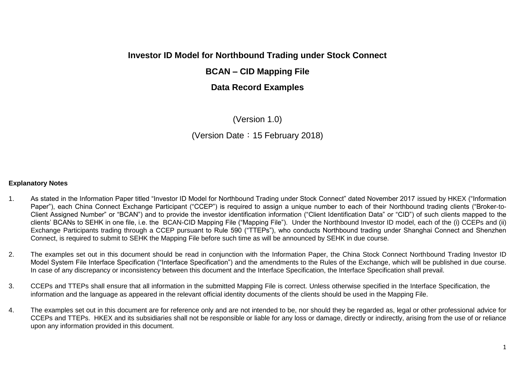# **Investor ID Model for Northbound Trading under Stock Connect**

# **BCAN – CID Mapping File**

# **Data Record Examples**

(Version 1.0)

(Version Date:15 February 2018)

#### **Explanatory Notes**

- 1. As stated in the Information Paper titled "Investor ID Model for Northbound Trading under Stock Connect" dated November 2017 issued by HKEX ("Information Paper"), each China Connect Exchange Participant ("CCEP") is required to assign a unique number to each of their Northbound trading clients ("Broker-to-Client Assigned Number" or "BCAN") and to provide the investor identification information ("Client Identification Data" or "CID") of such clients mapped to the clients' BCANs to SEHK in one file, i.e. the BCAN-CID Mapping File ("Mapping File"). Under the Northbound Investor ID model, each of the (i) CCEPs and (ii) Exchange Participants trading through a CCEP pursuant to Rule 590 ("TTEPs"), who conducts Northbound trading under Shanghai Connect and Shenzhen Connect, is required to submit to SEHK the Mapping File before such time as will be announced by SEHK in due course.
- 2. The examples set out in this document should be read in conjunction with the Information Paper, the China Stock Connect Northbound Trading Investor ID Model System File Interface Specification ("Interface Specification") and the amendments to the Rules of the Exchange, which will be published in due course. In case of any discrepancy or inconsistency between this document and the Interface Specification, the Interface Specification shall prevail.
- 3. CCEPs and TTEPs shall ensure that all information in the submitted Mapping File is correct. Unless otherwise specified in the Interface Specification, the information and the language as appeared in the relevant official identity documents of the clients should be used in the Mapping File.
- 4. The examples set out in this document are for reference only and are not intended to be, nor should they be regarded as, legal or other professional advice for CCEPs and TTEPs. HKEX and its subsidiaries shall not be responsible or liable for any loss or damage, directly or indirectly, arising from the use of or reliance upon any information provided in this document.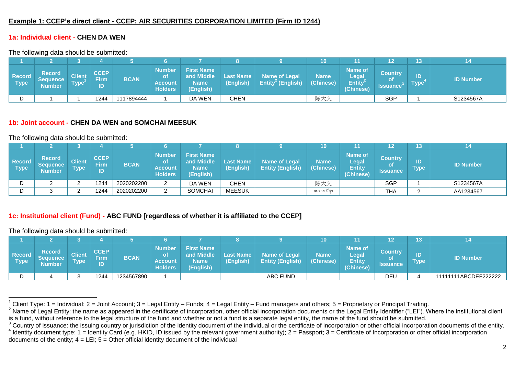### **Example 1: CCEP's direct client - CCEP: AIR SECURITIES CORPORATION LIMITED (Firm ID 1244)**

# **1a: Individual client - CHEN DA WEN**

The following data should be submitted:

|                              |                                      |                       |                                         |             |                                                         |                                                             |                               |                                                       | 10                       |                                                |                                                | 13                |                  |
|------------------------------|--------------------------------------|-----------------------|-----------------------------------------|-------------|---------------------------------------------------------|-------------------------------------------------------------|-------------------------------|-------------------------------------------------------|--------------------------|------------------------------------------------|------------------------------------------------|-------------------|------------------|
| <b>Record</b><br><b>Type</b> | <b>Record</b><br>Sequence'<br>Number | Client<br><b>Type</b> | <b>CCEP</b><br><b>Firm</b><br><b>ID</b> | <b>BCAN</b> | <b>Number</b><br>Οt<br><b>Account</b><br><b>Holders</b> | <b>First Name</b><br>and Middle<br><b>Name</b><br>(English) | <b>Last Name</b><br>(English) | <b>Name of Legal</b><br>Entity <sup>2</sup> (English) | <b>Name</b><br>(Chinese) | <b>Name of</b><br>Legal<br>Entity<br>(Chinese) | <b>Country</b><br><b>of</b><br><b>Issuance</b> | ID<br><b>Type</b> | <b>ID Number</b> |
|                              |                                      |                       | 1244                                    | 1117894444  |                                                         | DA WEN                                                      | CHEN                          |                                                       | 陈大文                      |                                                | SGP                                            |                   | S1234567A        |

#### **1b: Joint account - CHEN DA WEN and SOMCHAI MEESUK**

The following data should be submitted:

|                              |                                                   |                       |                                  |             |                                                         |                                                             |                               |                                                 | 10                       |                                                       | 12                         | 13           |                  |
|------------------------------|---------------------------------------------------|-----------------------|----------------------------------|-------------|---------------------------------------------------------|-------------------------------------------------------------|-------------------------------|-------------------------------------------------|--------------------------|-------------------------------------------------------|----------------------------|--------------|------------------|
| <b>Record</b><br><b>Type</b> | <b>Record</b><br><b>Sequence</b><br><b>Number</b> | Client<br><b>Type</b> | <b>CCEP</b><br><b>Firm</b><br>ID | <b>BCAN</b> | <b>Number</b><br><b>ot</b><br>Account<br><b>Holders</b> | <b>First Name</b><br>and Middle<br><b>Name</b><br>(English) | <b>Last Name</b><br>(English) | <b>Name of Legal</b><br><b>Entity (English)</b> | <b>Name</b><br>(Chinese) | <b>Name of</b><br>Legal<br><b>Entity</b><br>(Chinese) | /Country<br>оf<br>Issuance | ID<br>Type ' | <b>ID Number</b> |
|                              |                                                   |                       | 1244                             | 2020202200  |                                                         | DA WEN                                                      | CHEN                          |                                                 | 陈大文                      |                                                       | <b>SGP</b>                 |              | S1234567A        |
|                              |                                                   |                       | 1244                             | 2020202200  |                                                         | <b>SOMCHAI</b>                                              | <b>MEESUK</b>                 |                                                 | สมชาย มีสข               |                                                       | THA                        | ⌒            | AA1234567        |

### **1c: Institutional client (Fund) - ABC FUND [regardless of whether it is affiliated to the CCEP]**

The following data should be submitted:

 $\overline{a}$ 

|                              |                                      |                              |                           |             |                                                         |                                                             |                        |                                                 | 10                       |                                                              | 12                                      | 13                  |                      |
|------------------------------|--------------------------------------|------------------------------|---------------------------|-------------|---------------------------------------------------------|-------------------------------------------------------------|------------------------|-------------------------------------------------|--------------------------|--------------------------------------------------------------|-----------------------------------------|---------------------|----------------------|
| <b>Record</b><br><b>Type</b> | <b>Record</b><br>Sequence'<br>Number | <b>Client</b><br><b>Type</b> | <b>CCEP</b><br>Firm<br>ID | <b>BCAN</b> | <b>Number</b><br>0t<br><b>Account</b><br><b>Holders</b> | <b>First Name</b><br>and Middle<br><b>Name</b><br>(English) | Last Name<br>(English) | <b>Name of Legal</b><br><b>Entity (English)</b> | <b>Name</b><br>(Chinese) | <b>Name of</b><br><b>Legal</b><br><b>Entity</b><br>(Chinese) | <b>Country</b><br>0t<br><b>Issuance</b> | יסוו<br><b>Type</b> | <b>ID Number</b>     |
|                              |                                      |                              | 1244                      | 1234567890  |                                                         |                                                             |                        | ABC FUND                                        |                          |                                                              | DEU                                     |                     | 11111111ABCDEF222222 |

documents of the entity;  $4 = \text{LEI}$ ;  $5 = \text{Other official identity document}$  of the individual

<sup>&</sup>lt;sup>1</sup> Client Type: 1 = Individual; 2 = Joint Account; 3 = Legal Entity – Funds; 4 = Legal Entity – Fund managers and others; 5 = Proprietary or Principal Trading.

<sup>&</sup>lt;sup>2</sup> Name of Legal Entity: the name as appeared in the certificate of incorporation, other official incorporation documents or the Legal Entity Identifier ("LEI"). Where the institutional client is a fund, without reference to the legal structure of the fund and whether or not a fund is a separate legal entity, the name of the fund should be submitted.

 $3$  Country of issuance: the issuing country or jurisdiction of the identity document of the individual or the certificate of incorporation or other official incorporation documents of the entity.  $4$  Identity document type: 1 = Identity Card (e.g. HKID, ID issued by the relevant government authority); 2 = Passport; 3 = Certificate of Incorporation or other official incorporation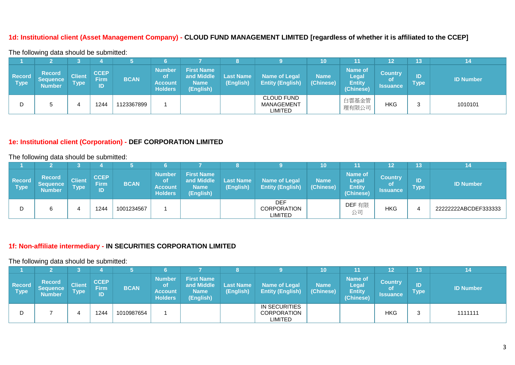## **1d: Institutional client (Asset Management Company) - CLOUD FUND MANAGEMENT LIMITED [regardless of whether it is affiliated to the CCEP]**

The following data should be submitted:

|                              |                                                   |                              |                                  |             |                                                                 |                                                             |                               |                                                 | 10                       |                                                              | 12                                             | 13                  |                  |
|------------------------------|---------------------------------------------------|------------------------------|----------------------------------|-------------|-----------------------------------------------------------------|-------------------------------------------------------------|-------------------------------|-------------------------------------------------|--------------------------|--------------------------------------------------------------|------------------------------------------------|---------------------|------------------|
| <b>Record</b><br><b>Type</b> | <b>Record</b><br><b>Sequence</b><br><b>Number</b> | <b>Client</b><br><b>Type</b> | <b>CCEP</b><br><b>Firm</b><br>ID | <b>BCAN</b> | <b>Number</b><br><b>o</b> t<br><b>Account</b><br><b>Holders</b> | <b>First Name</b><br>and Middle<br><b>Name</b><br>(English) | <b>Last Name</b><br>(English) | <b>Name of Legal</b><br><b>Entity (English)</b> | <b>Name</b><br>(Chinese) | <b>Name of</b><br><b>Legal</b><br><b>Entity</b><br>(Chinese) | <b>Country</b><br><b>of</b><br><b>Issuance</b> | ID<br>$\sf{Type}^!$ | <b>ID Number</b> |
|                              |                                                   |                              | 1244                             | 1123367899  |                                                                 |                                                             |                               | <b>CLOUD FUND</b><br>MANAGEMENT<br>LIMITED      |                          | 白雲基金管<br>理有限公司                                               | HKG                                            |                     | 1010101          |

#### **1e: Institutional client (Corporation) - DEF CORPORATION LIMITED**

The following data should be submitted:

|                       |                                                   |                              |                                  |             |                                                                |                                                             |                               |                                                 | 10                       | 11                                                    | 12                               | 13                |                      |
|-----------------------|---------------------------------------------------|------------------------------|----------------------------------|-------------|----------------------------------------------------------------|-------------------------------------------------------------|-------------------------------|-------------------------------------------------|--------------------------|-------------------------------------------------------|----------------------------------|-------------------|----------------------|
| <b>Record</b><br>Type | <b>Record</b><br><b>Sequence</b><br><b>Number</b> | <b>Client</b><br><b>Type</b> | <b>CCEP</b><br><b>Firm</b><br>ID | <b>BCAN</b> | <b>Number</b><br><b>of</b><br><b>Account</b><br><b>Holders</b> | <b>First Name</b><br>and Middle<br><b>Name</b><br>(English) | <b>Last Name</b><br>(English) | <b>Name of Legal</b><br><b>Entity (English)</b> | <b>Name</b><br>(Chinese) | Name of<br><b>Legal</b><br><b>Entity</b><br>(Chinese) | <b>Country</b><br>οf<br>Issuance | ID<br><b>Type</b> | <b>ID Number</b>     |
|                       |                                                   |                              | 1244                             | 1001234567  |                                                                |                                                             |                               | <b>DEF</b><br>CORPORATION<br><b>LIMITED</b>     |                          | DEF 有限<br>公司                                          | <b>HKG</b>                       |                   | 22222222ABCDEF333333 |

# **1f: Non-affiliate intermediary - IN SECURITIES CORPORATION LIMITED**

|                       |                                                   |                              |                                  |             |                                                  |                                                             |                               |                                                 | 10 <sup>°</sup>          | 11                                                           | 12                                             | 13                  |                  |
|-----------------------|---------------------------------------------------|------------------------------|----------------------------------|-------------|--------------------------------------------------|-------------------------------------------------------------|-------------------------------|-------------------------------------------------|--------------------------|--------------------------------------------------------------|------------------------------------------------|---------------------|------------------|
| <b>Record</b><br>Type | <b>Record</b><br><b>Sequence</b><br><b>Number</b> | <b>Client</b><br><b>Type</b> | <b>CCEP</b><br><b>Firm</b><br>ID | <b>BCAN</b> | <b>Number</b><br>οt<br>Account<br><b>Holders</b> | <b>First Name</b><br>and Middle<br><b>Name</b><br>(English) | <b>Last Name</b><br>(English) | <b>Name of Legal</b><br><b>Entity (English)</b> | <b>Name</b><br>(Chinese) | <b>Name of</b><br><b>Legal</b><br><b>Entity</b><br>(Chinese) | <b>Country</b><br><b>of</b><br><b>Issuance</b> | ID<br><b>Type</b> ' | <b>ID Number</b> |
| D                     |                                                   |                              | 1244                             | 1010987654  |                                                  |                                                             |                               | IN SECURITIES<br><b>CORPORATION</b><br>LIMITED  |                          |                                                              | <b>HKG</b>                                     |                     | 1111111          |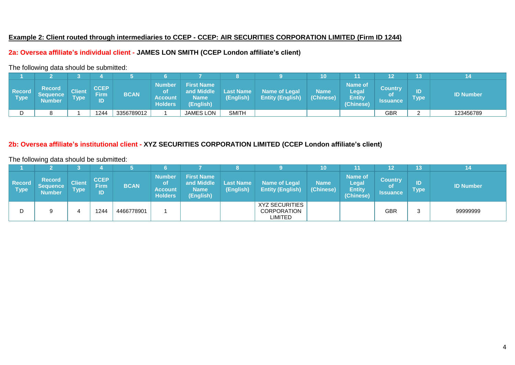#### **Example 2: Client routed through intermediaries to CCEP - CCEP: AIR SECURITIES CORPORATION LIMITED (Firm ID 1244)**

# **2a: Oversea affiliate's individual client - JAMES LON SMITH (CCEP London affiliate's client)**

The following data should be submitted:

|                         |                                     |                              |                                   |             |                                                  |                                                             |                        |                                          | 10                       | 11                                                    |                                         | 13         |                  |
|-------------------------|-------------------------------------|------------------------------|-----------------------------------|-------------|--------------------------------------------------|-------------------------------------------------------------|------------------------|------------------------------------------|--------------------------|-------------------------------------------------------|-----------------------------------------|------------|------------------|
| ∣ Record<br><b>Type</b> | <b>Record</b><br>Seauence<br>Number | <b>Client</b><br><b>Type</b> | <b>CCEP</b><br><b>Firm</b><br>יסו | <b>BCAN</b> | <b>Number</b><br>Οt<br>Account<br><b>Holders</b> | <b>First Name</b><br>and Middle<br><b>Name</b><br>(English) | Last Name<br>(English) | Name of Legal<br><b>Entity (English)</b> | <b>Name</b><br>(Chinese) | Name of<br><b>Legal</b><br><b>Entity</b><br>(Chinese) | <b>Country</b><br>оf<br><b>Issuance</b> | ID<br>Type | <b>ID Number</b> |
|                         |                                     |                              | 1244                              | 3356789012  |                                                  | <b>JAMES LON</b>                                            | <b>SMITH</b>           |                                          |                          |                                                       | <b>GBR</b>                              |            | 123456789        |

# **2b: Oversea affiliate's institutional client - XYZ SECURITIES CORPORATION LIMITED (CCEP London affiliate's client)**

|                       |                                            |                              |                                  |             |                                                                |                                                             |                               |                                                 | 10                       |                                                       | 12                                      | 42          |                  |
|-----------------------|--------------------------------------------|------------------------------|----------------------------------|-------------|----------------------------------------------------------------|-------------------------------------------------------------|-------------------------------|-------------------------------------------------|--------------------------|-------------------------------------------------------|-----------------------------------------|-------------|------------------|
| <b>Record</b><br>Type | <b>Record</b><br>Sequence<br><b>Number</b> | <b>Client</b><br><b>Type</b> | <b>CCEP</b><br><b>Firm</b><br>ID | <b>BCAN</b> | <b>Number</b><br><b>of</b><br><b>Account</b><br><b>Holders</b> | <b>First Name</b><br>and Middle<br><b>Name</b><br>(English) | <b>Last Name</b><br>(English) | Name of Legal<br><b>Entity (English)</b>        | <b>Name</b><br>(Chinese) | Name of<br><b>Legal</b><br><b>Entity</b><br>(Chinese) | <b>Country</b><br>оt<br><b>Issuance</b> | ID<br>[ˈype | <b>ID Number</b> |
|                       |                                            |                              | 1244                             | 4466778901  |                                                                |                                                             |                               | <b>XYZ SECURITIES</b><br>CORPORATION<br>LIMITED |                          |                                                       | <b>GBR</b>                              |             | 99999999         |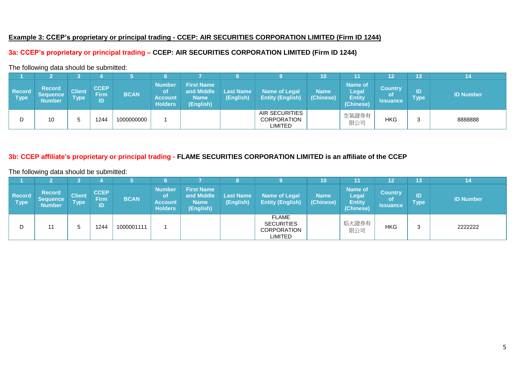### **Example 3: CCEP's proprietary or principal trading - CCEP: AIR SECURITIES CORPORATION LIMITED (Firm ID 1244)**

# **3a: CCEP's proprietary or principal trading – CCEP: AIR SECURITIES CORPORATION LIMITED (Firm ID 1244)**

The following data should be submitted:

|                              |                                            |                              |                                  |             |                                                         |                                                             |                               |                                                 | 10                       |                                                       | 12                                             | 13                |                  |
|------------------------------|--------------------------------------------|------------------------------|----------------------------------|-------------|---------------------------------------------------------|-------------------------------------------------------------|-------------------------------|-------------------------------------------------|--------------------------|-------------------------------------------------------|------------------------------------------------|-------------------|------------------|
| <b>Record</b><br><b>Type</b> | <b>Record</b><br><b>Sequence</b><br>Number | <b>Client</b><br><b>Type</b> | <b>CCEP</b><br><b>Firm</b><br>ID | <b>BCAN</b> | <b>Number</b><br>Οt<br><b>Account</b><br><b>Holders</b> | <b>First Name</b><br>and Middle<br><b>Name</b><br>(English) | <b>Last Name</b><br>(English) | <b>Name of Legal</b><br><b>Entity (English)</b> | <b>Name</b><br>(Chinese) | <b>Name of</b><br>Legal<br><b>Entity</b><br>(Chinese) | <b>Country</b><br><b>of</b><br><b>Issuance</b> | ID<br><b>Type</b> | <b>ID Number</b> |
|                              | 10                                         |                              | 1244                             | 1000000000  |                                                         |                                                             |                               | AIR SECURITIES<br>CORPORATION<br>LIMITED        |                          | 空氣證券有<br>限公司                                          | <b>HKG</b>                                     |                   | 8888888          |

# **3b: CCEP affiliate's proprietary or principal trading - FLAME SECURITIES CORPORATION LIMITED is an affiliate of the CCEP**

|                       |                                                   |                              |                                   |             |                                                         |                                                             |                               |                                                      | 10                       | 11,                                                   | 12                                             | 13                | 14               |
|-----------------------|---------------------------------------------------|------------------------------|-----------------------------------|-------------|---------------------------------------------------------|-------------------------------------------------------------|-------------------------------|------------------------------------------------------|--------------------------|-------------------------------------------------------|------------------------------------------------|-------------------|------------------|
| <b>Record</b><br>Type | <b>Record</b><br><b>Sequence</b><br><b>Number</b> | <b>Client</b><br><b>Type</b> | <b>CCEP</b><br><b>Firm</b><br>יסו | <b>BCAN</b> | <b>Number</b><br>οt<br><b>Account</b><br><b>Holders</b> | <b>First Name</b><br>and Middle<br><b>Name</b><br>(English) | <b>Last Name</b><br>(English) | <b>Name of Legal</b><br><b>Entity (English)</b>      | <b>Name</b><br>(Chinese) | <b>Name of</b><br>Legal<br><b>Entity</b><br>(Chinese) | <b>Country</b><br><b>of</b><br><b>Issuance</b> | ID<br><b>Type</b> | <b>ID Number</b> |
| D                     | 11                                                | '5                           | 1244                              | 1000001111  |                                                         |                                                             |                               | FLAME<br><b>SECURITIES</b><br>CORPORATION<br>LIMITED |                          | 焰火證券有<br>限公司                                          | <b>HKG</b>                                     |                   | 2222222          |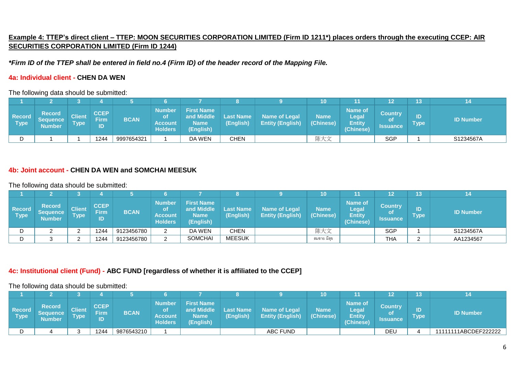# **Example 4: TTEP's direct client – TTEP: MOON SECURITIES CORPORATION LIMITED (Firm ID 1211\*) places orders through the executing CCEP: AIR SECURITIES CORPORATION LIMITED (Firm ID 1244)**

*\*Firm ID of the TTEP shall be entered in field no.4 (Firm ID) of the header record of the Mapping File.*

### **4a: Individual client - CHEN DA WEN**

The following data should be submitted:

|                       |                                     |                              |                                       |             |                                                         |                                                             |                               |                                                 | 10                       |                                                       | 12                                      | 13                |                  |
|-----------------------|-------------------------------------|------------------------------|---------------------------------------|-------------|---------------------------------------------------------|-------------------------------------------------------------|-------------------------------|-------------------------------------------------|--------------------------|-------------------------------------------------------|-----------------------------------------|-------------------|------------------|
| <b>Record</b><br>Type | <b>Record</b><br>Sequence<br>Number | <b>Client</b><br><b>Type</b> | <b>CCEP</b><br>$Firm^{\dagger}$<br>ID | <b>BCAN</b> | <b>Number</b><br>Οt<br><b>Account</b><br><b>Holders</b> | <b>First Name</b><br>and Middle<br><b>Name</b><br>(English) | <b>Last Name</b><br>(English) | <b>Name of Legal</b><br><b>Entity (English)</b> | <b>Name</b><br>(Chinese) | <b>Name of</b><br>Legal<br><b>Entity</b><br>(Chinese) | <b>Country</b><br>οf<br><b>Issuance</b> | ID<br><b>Type</b> | <b>ID Number</b> |
|                       |                                     |                              | 1244                                  | 9997654321  |                                                         | DA WEN                                                      | CHEN                          |                                                 | 陈大文                      |                                                       | <b>SGP</b>                              |                   | S1234567A        |

# **4b: Joint account - CHEN DA WEN and SOMCHAI MEESUK**

The following data should be submitted:

|                                  |                                            |                              |                           |             |                                                         |                                                             |                               |                                                 | 10                       |                                                              | 12                                             | 13                |                  |
|----------------------------------|--------------------------------------------|------------------------------|---------------------------|-------------|---------------------------------------------------------|-------------------------------------------------------------|-------------------------------|-------------------------------------------------|--------------------------|--------------------------------------------------------------|------------------------------------------------|-------------------|------------------|
| <b>Record</b><br>$\sqrt{ }$ Type | <b>Record</b><br>Sequence<br><b>Number</b> | <b>Client</b><br><b>Type</b> | <b>CCEP</b><br>Firm<br>ID | <b>BCAN</b> | <b>Number</b><br>Οt<br><b>Account</b><br><b>Holders</b> | <b>First Name</b><br>and Middle<br><b>Name</b><br>(English) | <b>Last Name</b><br>(English) | <b>Name of Legal</b><br><b>Entity (English)</b> | <b>Name</b><br>(Chinese) | <b>Name of</b><br><b>Legal</b><br><b>Entity</b><br>(Chinese) | <b>Country</b><br><b>of</b><br><b>Issuance</b> | ID<br><b>Type</b> | <b>ID Number</b> |
| D                                | _                                          |                              | 1244                      | 9123456780  |                                                         | DA WEN                                                      | CHEN                          |                                                 | 陈大文                      |                                                              | <b>SGP</b>                                     |                   | S1234567A        |
| D                                |                                            |                              | 1244                      | 9123456780  |                                                         | <b>SOMCHAI</b>                                              | <b>MEESUK</b>                 |                                                 | สมชาย มีสข               |                                                              | <b>THA</b>                                     |                   | AA1234567        |

### **4c: Institutional client (Fund) - ABC FUND [regardless of whether it is affiliated to the CCEP]**

|                       |                                     |                              |                           |             |                                                  |                                                                   |                        |                                                 | 10                       |                                                       | 12                                | 13         |                      |
|-----------------------|-------------------------------------|------------------------------|---------------------------|-------------|--------------------------------------------------|-------------------------------------------------------------------|------------------------|-------------------------------------------------|--------------------------|-------------------------------------------------------|-----------------------------------|------------|----------------------|
| <b>Record</b><br>Type | <b>Record</b><br>Sequence<br>Number | <b>Client</b><br><b>Type</b> | <b>CCEP</b><br>Firm<br>ID | <b>BCAN</b> | <b>Number</b><br>оt<br>Account<br><b>Holders</b> | <b>First Name</b><br>and Middle<br><b>Name</b><br><b>YEnglish</b> | Last Name<br>(English) | <b>Name of Legal</b><br><b>Entity (English)</b> | <b>Name</b><br>(Chinese) | <b>Name of</b><br>Legal<br><b>Entity</b><br>(Chinese) | <b>Country</b><br><b>Issuance</b> | ID<br>Type | <b>ID Number</b>     |
|                       |                                     | ີ                            | 1244                      | 9876543210  |                                                  |                                                                   |                        | <b>ABC FUND</b>                                 |                          |                                                       | DEL                               |            | 11111111ABCDEF222222 |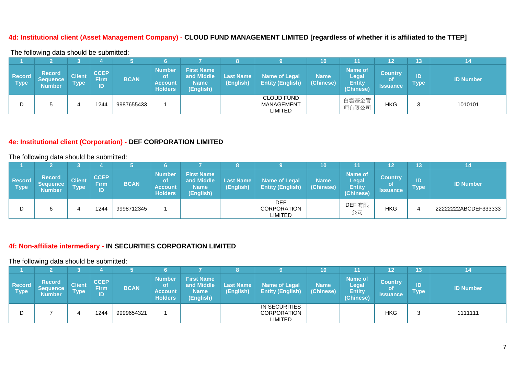### **4d: Institutional client (Asset Management Company) - CLOUD FUND MANAGEMENT LIMITED [regardless of whether it is affiliated to the TTEP]**

The following data should be submitted:

|                              |                                                   |                              |                                  |             |                                                                 |                                                             |                               |                                                 | 10                       |                                                              | 12                                             | 13                  |                  |
|------------------------------|---------------------------------------------------|------------------------------|----------------------------------|-------------|-----------------------------------------------------------------|-------------------------------------------------------------|-------------------------------|-------------------------------------------------|--------------------------|--------------------------------------------------------------|------------------------------------------------|---------------------|------------------|
| <b>Record</b><br><b>Type</b> | <b>Record</b><br><b>Sequence</b><br><b>Number</b> | <b>Client</b><br><b>Type</b> | <b>CCEP</b><br><b>Firm</b><br>ID | <b>BCAN</b> | <b>Number</b><br><b>o</b> t<br><b>Account</b><br><b>Holders</b> | <b>First Name</b><br>and Middle<br><b>Name</b><br>(English) | <b>Last Name</b><br>(English) | <b>Name of Legal</b><br><b>Entity (English)</b> | <b>Name</b><br>(Chinese) | <b>Name of</b><br><b>Legal</b><br><b>Entity</b><br>(Chinese) | <b>Country</b><br><b>of</b><br><b>Issuance</b> | ID<br>$\sf{Type}^!$ | <b>ID Number</b> |
|                              |                                                   |                              | 1244                             | 9987655433  |                                                                 |                                                             |                               | <b>CLOUD FUND</b><br>MANAGEMENT<br>LIMITED      |                          | 白雲基金管<br>理有限公司                                               | HKG                                            |                     | 1010101          |

### **4e: Institutional client (Corporation) - DEF CORPORATION LIMITED**

The following data should be submitted:

|                              |                                                   |                              |                                  |             |                                                         |                                                             |                               |                                             | 10                       | 11                                                           | 12                                             | 13                |                      |
|------------------------------|---------------------------------------------------|------------------------------|----------------------------------|-------------|---------------------------------------------------------|-------------------------------------------------------------|-------------------------------|---------------------------------------------|--------------------------|--------------------------------------------------------------|------------------------------------------------|-------------------|----------------------|
| <b>Record</b><br><b>Type</b> | <b>Record</b><br><b>Sequence</b><br><b>Number</b> | <b>Client</b><br><b>Type</b> | <b>CCEP</b><br><b>Firm</b><br>ID | <b>BCAN</b> | <b>Number</b><br>οt<br><b>Account</b><br><b>Holders</b> | <b>First Name</b><br>and Middle<br><b>Name</b><br>(English) | <b>Last Name</b><br>(English) | Name of Legal<br><b>Entity (English)</b>    | <b>Name</b><br>(Chinese) | <b>Name of</b><br><b>Legal</b><br><b>Entity</b><br>(Chinese) | <b>Country</b><br><b>of</b><br><b>Issuance</b> | ID<br><b>Type</b> | <b>ID Number</b>     |
|                              |                                                   |                              | 1244                             | 9998712345  |                                                         |                                                             |                               | <b>DEF</b><br>CORPORATION<br><b>LIMITED</b> |                          | DEF 有限<br>公司                                                 | <b>HKG</b>                                     |                   | 22222222ABCDEF333333 |

# **4f: Non-affiliate intermediary - IN SECURITIES CORPORATION LIMITED**

|                       |                                            |                              |                                  |             |                                                  |                                                             |                               |                                                 | 10                       | 11                                                           | 12.                                            | 13                        |                  |
|-----------------------|--------------------------------------------|------------------------------|----------------------------------|-------------|--------------------------------------------------|-------------------------------------------------------------|-------------------------------|-------------------------------------------------|--------------------------|--------------------------------------------------------------|------------------------------------------------|---------------------------|------------------|
| <b>Record</b><br>Type | <b>Record</b><br>Sequence<br><b>Number</b> | <b>Client</b><br><b>Type</b> | <b>CCEP</b><br><b>Firm</b><br>ID | <b>BCAN</b> | <b>Number</b><br>οt<br>Account<br><b>Holders</b> | <b>First Name</b><br>and Middle<br><b>Name</b><br>(English) | <b>Last Name</b><br>(English) | <b>Name of Legal</b><br><b>Entity (English)</b> | <b>Name</b><br>(Chinese) | <b>Name of</b><br><b>Legal</b><br><b>Entity</b><br>(Chinese) | <b>Country</b><br><b>of</b><br><b>Issuance</b> | ID<br>${ \mathsf{Type} }$ | <b>ID Number</b> |
|                       |                                            |                              | 1244                             | 9999654321  |                                                  |                                                             |                               | IN SECURITIES<br><b>CORPORATION</b><br>LIMITED  |                          |                                                              | HKG                                            |                           | 1111111          |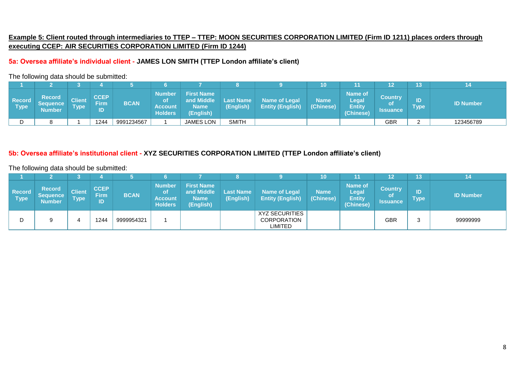# **Example 5: Client routed through intermediaries to TTEP – TTEP: MOON SECURITIES CORPORATION LIMITED (Firm ID 1211) places orders through executing CCEP: AIR SECURITIES CORPORATION LIMITED (Firm ID 1244)**

### **5a: Oversea affiliate's individual client - JAMES LON SMITH (TTEP London affiliate's client)**

#### The following data should be submitted:

|                       |                                            |                                          |                           |             |                                           |                                                             |                               |                                                 | 10                       | 11                                             | $\sim$                                  | 13                |                  |
|-----------------------|--------------------------------------------|------------------------------------------|---------------------------|-------------|-------------------------------------------|-------------------------------------------------------------|-------------------------------|-------------------------------------------------|--------------------------|------------------------------------------------|-----------------------------------------|-------------------|------------------|
| <b>Record</b><br>Type | <b>Record</b><br>Sequence<br><b>Number</b> | Client <sup>∖</sup><br>Type <sup>l</sup> | <b>CCEP</b><br>Firm<br>ID | <b>BCAN</b> | Number<br>οt<br>Account<br><b>Holders</b> | <b>First Name</b><br>and Middle<br><b>Name</b><br>(English) | <b>Last Name</b><br>(English) | <b>Name of Legal</b><br><b>Entity (English)</b> | <b>Name</b><br>(Chinese) | Name of<br>Legal<br><b>Entity</b><br>(Chinese) | <b>Country</b><br><b>of</b><br>Issuance | ID<br><b>Type</b> | <b>ID Number</b> |
|                       |                                            |                                          | 1244                      | 9991234567  |                                           | <b>JAMES LON</b>                                            | <b>SMITH</b>                  |                                                 |                          |                                                | GBR                                     | ◠                 | 123456789        |

### **5b: Oversea affiliate's institutional client - XYZ SECURITIES CORPORATION LIMITED (TTEP London affiliate's client)**

|                       |                                                   |                              |                                  |             |                                                         |                                                             |                               |                                                        | 10                       | 11                                                    | ィっ                                             | 13                   |                  |
|-----------------------|---------------------------------------------------|------------------------------|----------------------------------|-------------|---------------------------------------------------------|-------------------------------------------------------------|-------------------------------|--------------------------------------------------------|--------------------------|-------------------------------------------------------|------------------------------------------------|----------------------|------------------|
| <b>Record</b><br>Type | <b>Record</b><br><b>Sequence</b><br><b>Number</b> | <b>Client</b><br><b>Type</b> | <b>CCEP</b><br><b>Firm</b><br>ID | <b>BCAN</b> | <b>Number</b><br>οt<br><b>Account</b><br><b>Holders</b> | <b>First Name</b><br>and Middle<br><b>Name</b><br>(English) | <b>Last Name</b><br>(English) | <b>Name of Legal</b><br><b>Entity (English)</b>        | <b>Name</b><br>(Chinese) | Name of<br><b>Legal</b><br><b>Entity</b><br>(Chinese) | <b>Country</b><br><b>of</b><br><b>Issuance</b> | ID<br>${\sf Type}^+$ | <b>ID Number</b> |
|                       | 9                                                 |                              | 1244                             | 9999954321  |                                                         |                                                             |                               | <b>XYZ SECURITIES</b><br><b>CORPORATION</b><br>LIMITED |                          |                                                       | <b>GBR</b>                                     |                      | 99999999         |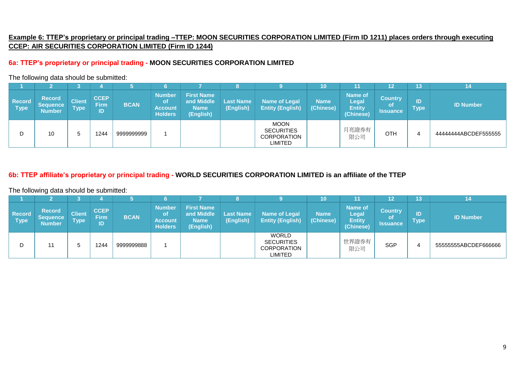# **Example 6: TTEP's proprietary or principal trading –TTEP: MOON SECURITIES CORPORATION LIMITED (Firm ID 1211) places orders through executing CCEP: AIR SECURITIES CORPORATION LIMITED (Firm ID 1244)**

# **6a: TTEP's proprietary or principal trading - MOON SECURITIES CORPORATION LIMITED**

#### The following data should be submitted:

|                              |                                                   |                              |                                  |             |                                                                 |                                                             | О                             |                                                            | 10                       | '11                                                          | 12                                             | 13                |                     |
|------------------------------|---------------------------------------------------|------------------------------|----------------------------------|-------------|-----------------------------------------------------------------|-------------------------------------------------------------|-------------------------------|------------------------------------------------------------|--------------------------|--------------------------------------------------------------|------------------------------------------------|-------------------|---------------------|
| <b>Record</b><br><b>Type</b> | <b>Record</b><br><b>Sequence</b><br><b>Number</b> | <b>Client</b><br><b>Type</b> | <b>CCEP</b><br><b>Firm</b><br>ID | <b>BCAN</b> | <b>Number</b><br><b>o</b> t<br><b>Account</b><br><b>Holders</b> | <b>First Name</b><br>and Middle<br><b>Name</b><br>(English) | <b>Last Name</b><br>(English) | <b>Name of Legal</b><br><b>Entity (English)</b>            | <b>Name</b><br>(Chinese) | <b>Name of</b><br><b>Legal</b><br><b>Entity</b><br>(Chinese) | <b>Country</b><br><b>of</b><br><b>Issuance</b> | ID<br><b>Type</b> | <b>ID Number</b>    |
|                              | 10                                                |                              | 1244                             | 9999999999  |                                                                 |                                                             |                               | <b>MOON</b><br><b>SECURITIES</b><br>CORPORATION<br>LIMITED |                          | 月亮證券有<br>限公司                                                 | <b>OTH</b>                                     |                   | 4444444ABCDEF555555 |

# **6b: TTEP affiliate's proprietary or principal trading - WORLD SECURITIES CORPORATION LIMITED is an affiliate of the TTEP**

|                              |                                                   |                              |                                  |             |                                                  |                                                             |                               |                                                             | 10                       | 11                                                           | 12                                             | 13         |                      |
|------------------------------|---------------------------------------------------|------------------------------|----------------------------------|-------------|--------------------------------------------------|-------------------------------------------------------------|-------------------------------|-------------------------------------------------------------|--------------------------|--------------------------------------------------------------|------------------------------------------------|------------|----------------------|
| <b>Record</b><br><b>Type</b> | <b>Record</b><br><b>Sequence</b><br><b>Number</b> | <b>Client</b><br><b>Type</b> | <b>CCEP</b><br><b>Firm</b><br>ID | <b>BCAN</b> | <b>Number</b><br>οt<br>Account<br><b>Holders</b> | <b>First Name</b><br>and Middle<br><b>Name</b><br>(English) | <b>Last Name</b><br>(English) | <b>Name of Legal</b><br><b>Entity (English)</b>             | <b>Name</b><br>(Chinese) | <b>Name of</b><br><b>Legal</b><br><b>Entity</b><br>(Chinese) | <b>Country</b><br><b>of</b><br><b>Issuance</b> | ID<br>Type | <b>ID Number</b>     |
|                              |                                                   |                              | 1244                             | 999999888   |                                                  |                                                             |                               | <b>WORLD</b><br><b>SECURITIES</b><br>CORPORATION<br>LIMITED |                          | 世界證券有<br>限公司                                                 | <b>SGP</b>                                     |            | 55555555ABCDEF666666 |